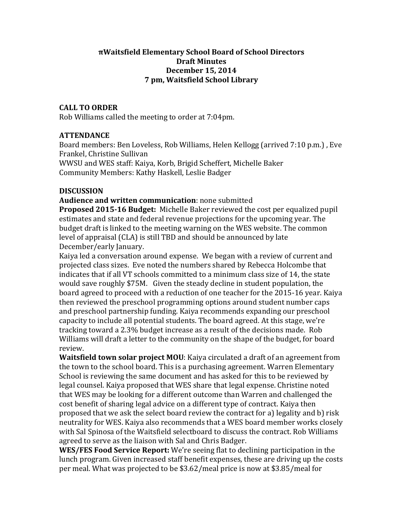## **πWaitsfield+Elementary+School+Board+of+School+Directors Draft+Minutes December+15,+2014 7+pm,+Waitsfield+School+Library**

### **CALL+TO+ORDER**

Rob Williams called the meeting to order at 7:04pm.

### **ATTENDANCE**

Board members: Ben Loveless, Rob Williams, Helen Kellogg (arrived 7:10 p.m.), Eve Frankel, Christine Sullivan WWSU and WES staff: Kaiya, Korb, Brigid Scheffert, Michelle Baker

Community Members: Kathy Haskell, Leslie Badger

### **DISCUSSION**

#### **Audience and written communication**: none submitted

**Proposed 2015-16 Budget:** Michelle Baker reviewed the cost per equalized pupil estimates and state and federal revenue projections for the upcoming year. The budget draft is linked to the meeting warning on the WES website. The common level of appraisal (CLA) is still TBD and should be announced by late December/early January.

Kaiya led a conversation around expense. We began with a review of current and projected class sizes. Eve noted the numbers shared by Rebecca Holcombe that indicates that if all VT schools committed to a minimum class size of 14, the state would save roughly \$75M. Given the steady decline in student population, the board agreed to proceed with a reduction of one teacher for the 2015-16 year. Kaiya then reviewed the preschool programming options around student number caps and preschool partnership funding. Kaiya recommends expanding our preschool capacity to include all potential students. The board agreed. At this stage, we're tracking toward a 2.3% budget increase as a result of the decisions made. Rob Williams will draft a letter to the community on the shape of the budget, for board review.

**Waitsfield town solar project MOU**: Kaiya circulated a draft of an agreement from the town to the school board. This is a purchasing agreement. Warren Elementary School is reviewing the same document and has asked for this to be reviewed by legal counsel. Kaiya proposed that WES share that legal expense. Christine noted that WES may be looking for a different outcome than Warren and challenged the cost benefit of sharing legal advice on a different type of contract. Kaiya then proposed that we ask the select board review the contract for a) legality and b) risk neutrality for WES. Kaiya also recommends that a WES board member works closely with Sal Spinosa of the Waitsfield selectboard to discuss the contract. Rob Williams agreed to serve as the liaison with Sal and Chris Badger.

**WES/FES Food Service Report:** We're seeing flat to declining participation in the lunch program. Given increased staff benefit expenses, these are driving up the costs per meal. What was projected to be \$3.62/meal price is now at \$3.85/meal for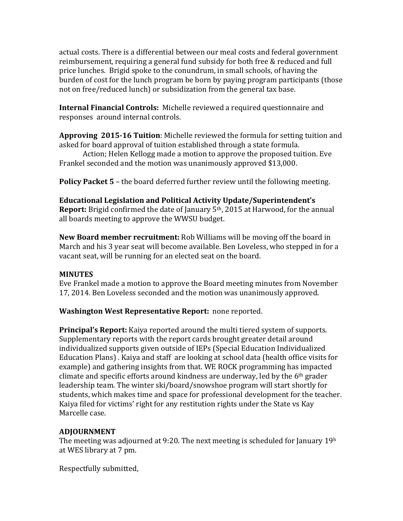actual costs. There is a differential between our meal costs and federal government reimbursement, requiring a general fund subsidy for both free & reduced and full price lunches. Brigid spoke to the conundrum, in small schools, of having the burden of cost for the lunch program be born by paying program participants (those not on free/reduced lunch) or subsidization from the general tax base.

**Internal Financial Controls:** Michelle reviewed a required questionnaire and responses around internal controls.

**Approving 2015-16 Tuition**: Michelle reviewed the formula for setting tuition and asked for board approval of tuition established through a state formula.

Action; Helen Kellogg made a motion to approve the proposed tuition. Eve Frankel seconded and the motion was unanimously approved \$13,000.

**Policy Packet 5** – the board deferred further review until the following meeting.

**Educational+Legislation+and+Political+Activity+Update/Superintendent's+ Report:** Brigid confirmed the date of January 5<sup>th</sup>, 2015 at Harwood, for the annual all boards meeting to approve the WWSU budget.

**New Board member recruitment:** Rob Williams will be moving off the board in March and his 3 year seat will become available. Ben Loveless, who stepped in for a vacant seat, will be running for an elected seat on the board.

# **MINUTES**

Eve Frankel made a motion to approve the Board meeting minutes from November 17, 2014. Ben Loveless seconded and the motion was unanimously approved.

Washington West Representative Report: none reported.

**Principal's Report:** Kaiya reported around the multi tiered system of supports. Supplementary reports with the report cards brought greater detail around individualized supports given outside of IEPs (Special Education Individualized Education Plans). Kaiya and staff are looking at school data (health office visits for example) and gathering insights from that. WE ROCK programming has impacted climate and specific efforts around kindness are underway, led by the  $6<sup>th</sup>$  grader leadership team. The winter ski/board/snowshoe program will start shortly for students, which makes time and space for professional development for the teacher. Kaiya filed for victims' right for any restitution rights under the State vs Kay Marcelle case.

# **ADJOURNMENT**

The meeting was adjourned at 9:20. The next meeting is scheduled for January 19h at WES library at 7 pm.

Respectfully submitted,